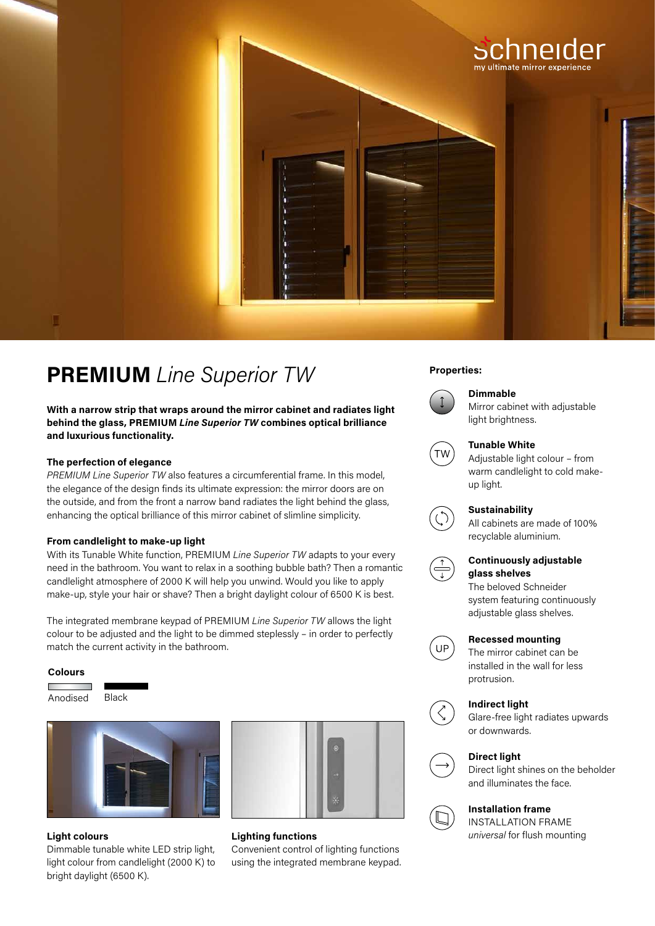

# **PREMIUM** *Line Superior TW* Properties:

**With a narrow strip that wraps around the mirror cabinet and radiates light behind the glass, PREMIUM** *Line Superior TW* **combines optical brilliance and luxurious functionality.**

## **The perfection of elegance**

*PREMIUM Line Superior TW* also features a circumferential frame. In this model, the elegance of the design finds its ultimate expression: the mirror doors are on the outside, and from the front a narrow band radiates the light behind the glass, enhancing the optical brilliance of this mirror cabinet of slimline simplicity.

## **From candlelight to make-up light**

With its Tunable White function, PREMIUM *Line Superior TW* adapts to your every need in the bathroom. You want to relax in a soothing bubble bath? Then a romantic candlelight atmosphere of 2000 K will help you unwind. Would you like to apply make-up, style your hair or shave? Then a bright daylight colour of 6500 K is best.

The integrated membrane keypad of PREMIUM *Line Superior TW* allows the light colour to be adjusted and the light to be dimmed steplessly – in order to perfectly match the current activity in the bathroom.

### **Colours**

| Anodised | Black |
|----------|-------|



Dimmable tunable white LED strip light, light colour from candlelight (2000 K) to bright daylight (6500 K).



# **Light colours** *universal* for flush mounting **Lighting functions**

Convenient control of lighting functions using the integrated membrane keypad.



## **Dimmable**

Mirror cabinet with adjustable light brightness.



### **Tunable White**

Adjustable light colour – from warm candlelight to cold makeup light.



# **Sustainability**

All cabinets are made of 100% recyclable aluminium.



# **Continuously adjustable glass shelves**

The beloved Schneider system featuring continuously adjustable glass shelves.



# **Recessed mounting**

The mirror cabinet can be installed in the wall for less protrusion.

## **Indirect light**



Glare-free light radiates upwards or downwards.



# **Direct light**

Direct light shines on the beholder and illuminates the face.

# **Installation frame**

INSTALLATION FRAME